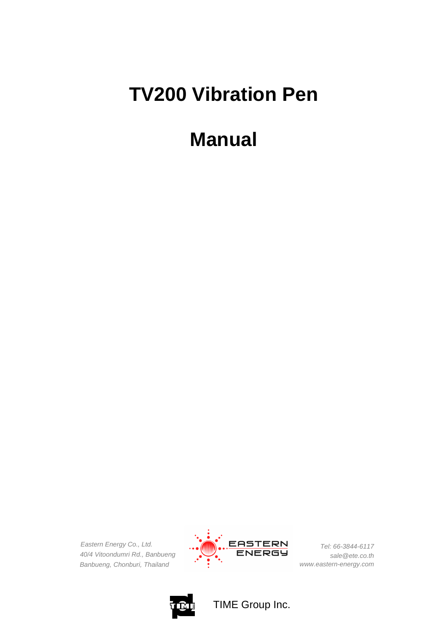# **TV200 Vibration Pen**

## **Manual**

*Eastern Energy Co., Ltd. 40/4 Vitoondumri Rd., Banbueng Banbueng, Chonburi, Thailand*



*Tel: 66-3844-6117 sale@ete.co.th www.eastern-energy.com*



TIME Group Inc.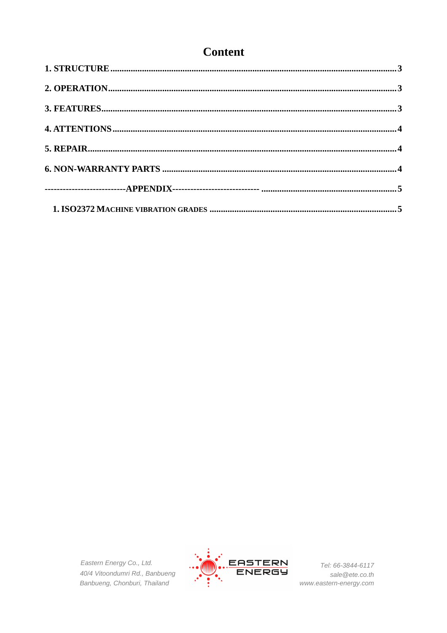### **Content**

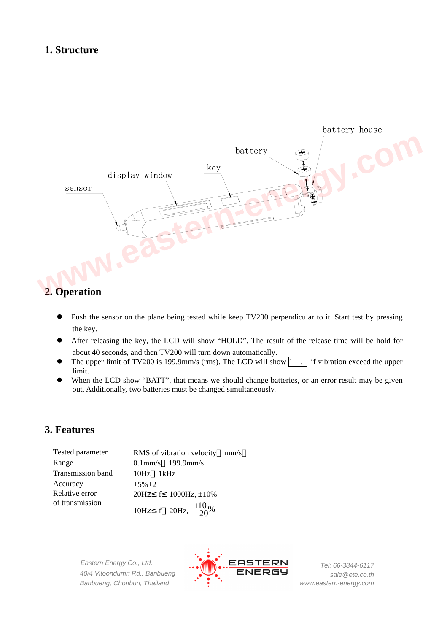#### **1. Structure**



#### **2. Operation**

- Push the sensor on the plane being tested while keep TV200 perpendicular to it. Start test by pressing the key.
- After releasing the key, the LCD will show "HOLD". The result of the release time will be hold for about 40 seconds, and then TV200 will turn down automatically.
- The upper limit of TV200 is 199.9mm/s (rms). The LCD will show  $\boxed{1}$ . if vibration exceed the upper limit.
- When the LCD show "BATT", that means we should change batteries, or an error result may be given out. Additionally, two batteries must be changed simultaneously.

#### **3. Features**

| Tested parameter  | RMS of vibration velocity mm/s |  |  |  |  |
|-------------------|--------------------------------|--|--|--|--|
| Range             | $0.1$ mm/s $199.9$ mm/s        |  |  |  |  |
| Transmission band | $10Hz$ $1kHz$                  |  |  |  |  |
| Accuracy          | $\pm 5\% \pm 2$                |  |  |  |  |
| Relative error    | 20Hz f $1000$ Hz, $\pm 10\%$   |  |  |  |  |
| of transmission   | 10Hz f 20Hz, $^{+10}_{-20}$ %  |  |  |  |  |

*Eastern Energy Co., Ltd. 40/4 Vitoondumri Rd., Banbueng Banbueng, Chonburi, Thailand*

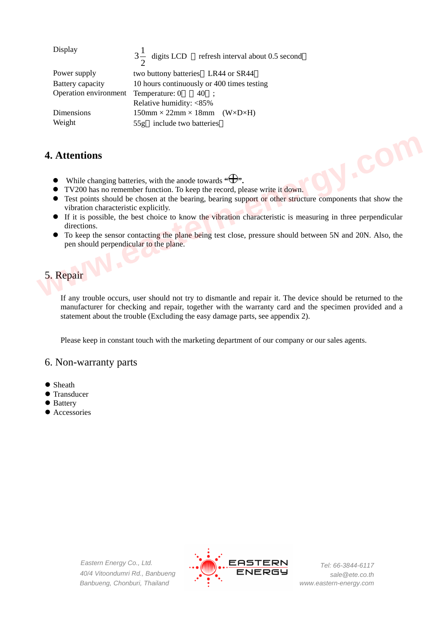| Display               | $3\frac{1}{2}$ digits LCD refresh interval about 0.5 second |  |  |  |  |
|-----------------------|-------------------------------------------------------------|--|--|--|--|
| Power supply          | two buttony batteries LR44 or SR44                          |  |  |  |  |
| Battery capacity      | 10 hours continuously or 400 times testing                  |  |  |  |  |
| Operation environment | Temperature: 0<br>40:                                       |  |  |  |  |
|                       | Relative humidity: <85%                                     |  |  |  |  |
| Dimensions            | $150$ mm × 22mm × 18mm (W×D×H)                              |  |  |  |  |
| Weight                | 55g include two batteries                                   |  |  |  |  |

#### **4. Attentions**

- $\bullet$  While changing batteries, with the anode towards  $\cdot \oplus \cdot$ .
- TV200 has no remember function. To keep the record, please write it down.
- Test points should be chosen at the bearing, bearing support or other structure components that show the vibration characteristic explicitly.
- If it is possible, the best choice to know the vibration characteristic is measuring in three perpendicular directions.
- To keep the sensor contacting the plane being test close, pressure should between 5N and 20N. Also, the pen should perpendicular to the plane. **4. Attentions**<br> **e** While changing batteries, with the anode towards " $\bigoplus$ ",<br> **e** TV200 nas no remember function. To keep the record, please write it down.<br> **CES** points should be chosen at the bearing, bearing support

#### 5. Repair

If any trouble occurs, user should not try to dismantle and repair it. The device should be returned to the manufacturer for checking and repair, together with the warranty card and the specimen provided and a statement about the trouble (Excluding the easy damage parts, see appendix 2).

Please keep in constant touch with the marketing department of our company or our sales agents.

#### 6. Non-warranty parts

- $\bullet$  Sheath
- $\bullet$  Transducer
- Battery
- Accessories